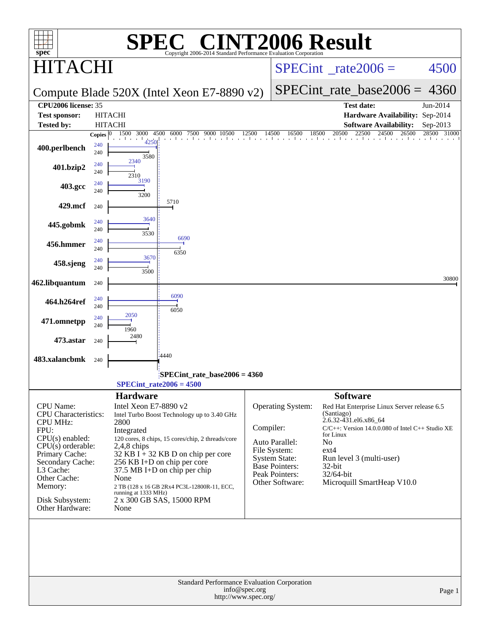| $spec^*$                                        |              |                       | $\bigcap$<br>Copyright 2006-2014 Standard Performance Evaluation Cornoration |               | <b>CINT2006 Result</b>                                         |                 |                                                                                |                |        |
|-------------------------------------------------|--------------|-----------------------|------------------------------------------------------------------------------|---------------|----------------------------------------------------------------|-----------------|--------------------------------------------------------------------------------|----------------|--------|
| $\mathsf{r}\mathsf{A}$ (                        |              |                       |                                                                              |               | $SPECint^{\circ}$ rate $2006 =$                                |                 |                                                                                | 4500           |        |
|                                                 |              |                       | Compute Blade 520X (Intel Xeon E7-8890 v2)                                   |               |                                                                |                 | $SPECint_rate_base2006 = 4360$                                                 |                |        |
| <b>CPU2006 license: 35</b>                      |              |                       |                                                                              |               |                                                                |                 | <b>Test date:</b>                                                              | Jun-2014       |        |
| <b>Test sponsor:</b>                            |              | <b>HITACHI</b>        |                                                                              |               |                                                                |                 | Hardware Availability: Sep-2014                                                |                |        |
| <b>Tested by:</b>                               |              | <b>HITACHI</b>        |                                                                              |               |                                                                |                 | <b>Software Availability:</b>                                                  | Sep-2013       |        |
|                                                 | Copies $ 0 $ | 1500<br>3000 4500     | 6000<br>7500<br>9000<br>10500                                                | 12500         | 14500<br>18500<br>16500<br>and a real and a familiar contact a | 20500           | 22500<br>24500                                                                 | 26500<br>28500 | 31000  |
| 400.perlbench                                   | 240<br>240   | 4250<br>3580          |                                                                              |               |                                                                |                 |                                                                                |                |        |
| 401.bzip2                                       | 240<br>240   | 2340<br>2310          |                                                                              |               |                                                                |                 |                                                                                |                |        |
| 403.gcc                                         | 240<br>240   | 3190<br>3200          |                                                                              |               |                                                                |                 |                                                                                |                |        |
| 429.mcf                                         | 240          |                       | 5710                                                                         |               |                                                                |                 |                                                                                |                |        |
| 445.gobmk                                       | 240<br>240   | 3640<br>3530          |                                                                              |               |                                                                |                 |                                                                                |                |        |
| 456.hmmer                                       | 240<br>240   |                       | 6690<br>6350                                                                 |               |                                                                |                 |                                                                                |                |        |
| 458.sjeng                                       | 240<br>240   | 3670<br>3500          |                                                                              |               |                                                                |                 |                                                                                |                |        |
| 462.libquantum                                  | 240          |                       |                                                                              |               |                                                                |                 |                                                                                |                | 30800  |
| 464.h264ref                                     | 240<br>240   |                       | 6090<br>6050                                                                 |               |                                                                |                 |                                                                                |                |        |
| 471.omnetpp                                     | 240<br>240   | 2050<br>1960          |                                                                              |               |                                                                |                 |                                                                                |                |        |
| 473.astar                                       | 240          | 2480                  |                                                                              |               |                                                                |                 |                                                                                |                |        |
| 483.xalancbmk                                   | 240          |                       | 4440                                                                         |               |                                                                |                 |                                                                                |                |        |
|                                                 |              |                       | SPECint_rate_base2006 = 4360<br>$SPECint_rate2006 = 4500$                    |               |                                                                |                 |                                                                                |                |        |
|                                                 |              | <b>Hardware</b>       |                                                                              |               |                                                                | <b>Software</b> |                                                                                |                |        |
| <b>CPU</b> Name:<br><b>CPU</b> Characteristics: |              | Intel Xeon E7-8890 v2 | Intel Turbo Boost Technology up to 3.40 GHz                                  |               | Operating System:                                              | (Santiago)      | Red Hat Enterprise Linux Server release 6.5                                    |                |        |
| <b>CPU MHz:</b>                                 |              | 2800                  |                                                                              | Compiler:     |                                                                |                 | 2.6.32-431.el6.x86_64<br>$C/C++$ : Version 14.0.0.080 of Intel $C++$ Studio XE |                |        |
| FPU:<br>$CPU(s)$ enabled:                       |              | Integrated            | 120 cores, 8 chips, 15 cores/chip, 2 threads/core                            |               |                                                                | for Linux       |                                                                                |                |        |
| $CPU(s)$ orderable:                             |              | $2,4,8$ chips         |                                                                              |               | Auto Parallel:<br>File System:                                 | No<br>$ext{4}$  |                                                                                |                |        |
| Primary Cache:                                  |              |                       | 32 KB I $+$ 32 KB D on chip per core                                         |               | <b>System State:</b>                                           |                 | Run level 3 (multi-user)                                                       |                |        |
| Secondary Cache:<br>L3 Cache:                   |              |                       | 256 KB I+D on chip per core<br>37.5 MB I+D on chip per chip                  |               | <b>Base Pointers:</b>                                          | 32-bit          |                                                                                |                |        |
| Other Cache:                                    |              | None                  |                                                                              |               | Peak Pointers:<br>Other Software:                              | 32/64-bit       | Microquill SmartHeap V10.0                                                     |                |        |
| Memory:                                         |              | running at 1333 MHz)  | 2 TB (128 x 16 GB 2Rx4 PC3L-12800R-11, ECC,                                  |               |                                                                |                 |                                                                                |                |        |
| Disk Subsystem:<br>Other Hardware:              |              | None                  | 2 x 300 GB SAS, 15000 RPM                                                    |               |                                                                |                 |                                                                                |                |        |
|                                                 |              |                       | Standard Performance Evaluation Corporation                                  | info@spec.org |                                                                |                 |                                                                                |                |        |
|                                                 |              |                       | http://www.spec.org/                                                         |               |                                                                |                 |                                                                                |                | Page 1 |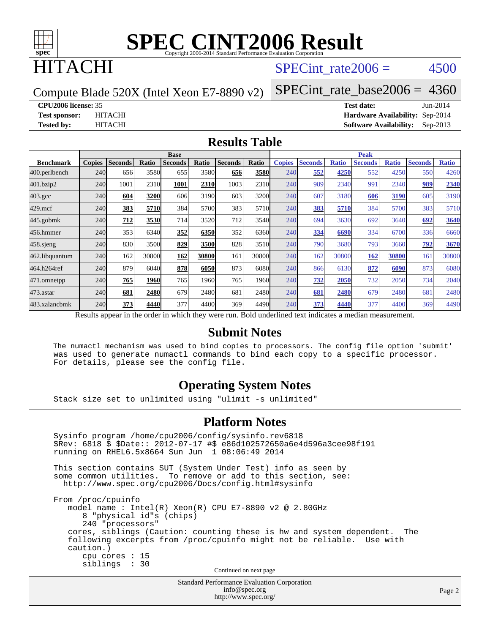

# **TACHI**

# SPECint rate $2006 = 4500$

Page 2

Compute Blade 520X (Intel Xeon E7-8890 v2)

[SPECint\\_rate\\_base2006 =](http://www.spec.org/auto/cpu2006/Docs/result-fields.html#SPECintratebase2006) 4360

**[CPU2006 license:](http://www.spec.org/auto/cpu2006/Docs/result-fields.html#CPU2006license)** 35 **[Test date:](http://www.spec.org/auto/cpu2006/Docs/result-fields.html#Testdate)** Jun-2014

**[Test sponsor:](http://www.spec.org/auto/cpu2006/Docs/result-fields.html#Testsponsor)** HITACHI **[Hardware Availability:](http://www.spec.org/auto/cpu2006/Docs/result-fields.html#HardwareAvailability)** Sep-2014 **[Tested by:](http://www.spec.org/auto/cpu2006/Docs/result-fields.html#Testedby)** HITACHI **[Software Availability:](http://www.spec.org/auto/cpu2006/Docs/result-fields.html#SoftwareAvailability)** Sep-2013

#### **[Results Table](http://www.spec.org/auto/cpu2006/Docs/result-fields.html#ResultsTable)**

|                                                                                                          | <b>Base</b>   |                |             |                |       | <b>Peak</b>    |       |               |                |              |                |              |                |              |
|----------------------------------------------------------------------------------------------------------|---------------|----------------|-------------|----------------|-------|----------------|-------|---------------|----------------|--------------|----------------|--------------|----------------|--------------|
| <b>Benchmark</b>                                                                                         | <b>Copies</b> | <b>Seconds</b> | Ratio       | <b>Seconds</b> | Ratio | <b>Seconds</b> | Ratio | <b>Copies</b> | <b>Seconds</b> | <b>Ratio</b> | <b>Seconds</b> | <b>Ratio</b> | <b>Seconds</b> | <b>Ratio</b> |
| 400.perlbench                                                                                            | 240           | 656            | 3580        | 655            | 3580  | 656            | 3580  | 240           | 552            | 4250         | 552            | 4250         | 550            | 4260         |
| 401.bzip2                                                                                                | 240           | 1001           | 2310        | 1001           | 2310  | 1003           | 2310  | 240           | 989            | 2340         | 991            | 2340         | 989            | 2340         |
| $403.\mathrm{gcc}$                                                                                       | 240           | 604            | 3200        | 606            | 3190  | 603            | 3200  | 240           | 607            | 3180         | 606            | 3190         | 605            | 3190         |
| $429$ .mcf                                                                                               | 240           | 383            | 5710        | 384            | 5700  | 383            | 5710  | 240           | 383            | 5710         | 384            | 5700         | 383            | 5710         |
| $445$ .gobmk                                                                                             | 240           | 712            | 3530        | 714            | 3520  | 712            | 3540  | 240           | 694            | 3630         | 692            | 3640         | 692            | 3640         |
| 456.hmmer                                                                                                | 240           | 353            | 6340        | 352            | 6350  | 352            | 6360  | 240           | 334            | 6690         | 334            | 6700         | 336            | 6660         |
| $458$ .sjeng                                                                                             | 240           | 830            | 3500        | 829            | 3500  | 828            | 3510  | 240           | 790            | 3680         | 793            | 3660         | 792            | 3670         |
| 462.libquantum                                                                                           | 240           | 162            | 30800       | 162            | 30800 | 161            | 30800 | 240           | 162            | 30800        | 162            | 30800        | 161            | 30800        |
| 464.h264ref                                                                                              | 240           | 879            | 6040        | 878            | 6050  | 873            | 6080  | 240           | 866            | 6130         | 872            | 6090         | 873            | 6080         |
| 471.omnetpp                                                                                              | 240           | 765            | <b>1960</b> | 765            | 1960  | 765            | 1960  | 240           | 732            | 2050         | 732            | 2050         | 734            | 2040         |
| $473$ . astar                                                                                            | 240           | 681            | 2480        | 679            | 2480  | 681            | 2480  | 240           | 681            | 2480         | 679            | 2480         | 681            | 2480         |
| 483.xalancbmk                                                                                            | 240           | 373            | 4440        | 377            | 4400  | 369            | 4490  | 240           | 373            | 4440         | 377            | 4400         | 369            | 4490         |
| Results appear in the order in which they were run. Bold underlined text indicates a median measurement. |               |                |             |                |       |                |       |               |                |              |                |              |                |              |

#### **[Submit Notes](http://www.spec.org/auto/cpu2006/Docs/result-fields.html#SubmitNotes)**

 The numactl mechanism was used to bind copies to processors. The config file option 'submit' was used to generate numactl commands to bind each copy to a specific processor. For details, please see the config file.

### **[Operating System Notes](http://www.spec.org/auto/cpu2006/Docs/result-fields.html#OperatingSystemNotes)**

Stack size set to unlimited using "ulimit -s unlimited"

#### **[Platform Notes](http://www.spec.org/auto/cpu2006/Docs/result-fields.html#PlatformNotes)**

Standard Performance Evaluation Corporation Sysinfo program /home/cpu2006/config/sysinfo.rev6818 \$Rev: 6818 \$ \$Date:: 2012-07-17 #\$ e86d102572650a6e4d596a3cee98f191 running on RHEL6.5x8664 Sun Jun 1 08:06:49 2014 This section contains SUT (System Under Test) info as seen by some common utilities. To remove or add to this section, see: <http://www.spec.org/cpu2006/Docs/config.html#sysinfo> From /proc/cpuinfo model name : Intel(R) Xeon(R) CPU E7-8890 v2 @ 2.80GHz 8 "physical id"s (chips) 240 "processors" cores, siblings (Caution: counting these is hw and system dependent. The following excerpts from /proc/cpuinfo might not be reliable. Use with caution.) cpu cores : 15 siblings : 30 Continued on next page

[info@spec.org](mailto:info@spec.org) <http://www.spec.org/>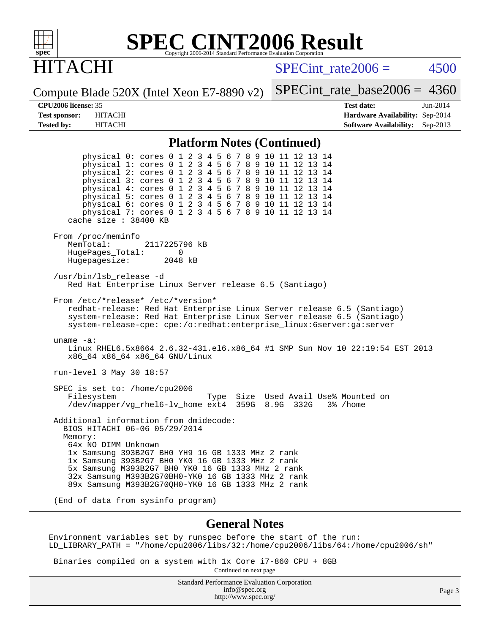

# ITACHI

SPECint rate $2006 = 4500$ 

Compute Blade 520X (Intel Xeon E7-8890 v2)

[SPECint\\_rate\\_base2006 =](http://www.spec.org/auto/cpu2006/Docs/result-fields.html#SPECintratebase2006) 4360

**[CPU2006 license:](http://www.spec.org/auto/cpu2006/Docs/result-fields.html#CPU2006license)** 35 **[Test date:](http://www.spec.org/auto/cpu2006/Docs/result-fields.html#Testdate)** Jun-2014 **[Test sponsor:](http://www.spec.org/auto/cpu2006/Docs/result-fields.html#Testsponsor)** HITACHI **[Hardware Availability:](http://www.spec.org/auto/cpu2006/Docs/result-fields.html#HardwareAvailability)** Sep-2014 **[Tested by:](http://www.spec.org/auto/cpu2006/Docs/result-fields.html#Testedby)** HITACHI **[Software Availability:](http://www.spec.org/auto/cpu2006/Docs/result-fields.html#SoftwareAvailability)** Sep-2013

#### **[Platform Notes \(Continued\)](http://www.spec.org/auto/cpu2006/Docs/result-fields.html#PlatformNotes)**

 physical 0: cores 0 1 2 3 4 5 6 7 8 9 10 11 12 13 14 physical 1: cores 0 1 2 3 4 5 6 7 8 9 10 11 12 13 14 physical 2: cores 0 1 2 3 4 5 6 7 8 9 10 11 12 13 14 physical 3: cores 0 1 2 3 4 5 6 7 8 9 10 11 12 13 14 physical 4: cores 0 1 2 3 4 5 6 7 8 9 10 11 12 13 14 physical 5: cores 0 1 2 3 4 5 6 7 8 9 10 11 12 13 14 physical 6: cores 0 1 2 3 4 5 6 7 8 9 10 11 12 13 14 physical 7: cores 0 1 2 3 4 5 6 7 8 9 10 11 12 13 14 cache size : 38400 KB From /proc/meminfo<br>MemTotal: 2117225796 kB HugePages\_Total: 0<br>Hugepagesize: 2048 kB Hugepagesize: /usr/bin/lsb\_release -d Red Hat Enterprise Linux Server release 6.5 (Santiago) From /etc/\*release\* /etc/\*version\* redhat-release: Red Hat Enterprise Linux Server release 6.5 (Santiago) system-release: Red Hat Enterprise Linux Server release 6.5 (Santiago) system-release-cpe: cpe:/o:redhat:enterprise\_linux:6server:ga:server uname -a: Linux RHEL6.5x8664 2.6.32-431.el6.x86\_64 #1 SMP Sun Nov 10 22:19:54 EST 2013 x86\_64 x86\_64 x86\_64 GNU/Linux run-level 3 May 30 18:57 SPEC is set to: /home/cpu2006 Filesystem Type Size Used Avail Use% Mounted on<br>
/dev/mapper/vg\_rhel6-lv\_home ext4 359G 8.9G 332G 3% /home /dev/mapper/vg\_rhel6-lv\_home ext4 Additional information from dmidecode: BIOS HITACHI 06-06 05/29/2014 Memory: 64x NO DIMM Unknown 1x Samsung 393B2G7 BH0 YH9 16 GB 1333 MHz 2 rank 1x Samsung 393B2G7 BH0 YK0 16 GB 1333 MHz 2 rank 5x Samsung M393B2G7 BH0 YK0 16 GB 1333 MHz 2 rank 32x Samsung M393B2G70BH0-YK0 16 GB 1333 MHz 2 rank 89x Samsung M393B2G70QH0-YK0 16 GB 1333 MHz 2 rank (End of data from sysinfo program)

#### **[General Notes](http://www.spec.org/auto/cpu2006/Docs/result-fields.html#GeneralNotes)**

Environment variables set by runspec before the start of the run: LD\_LIBRARY\_PATH = "/home/cpu2006/libs/32:/home/cpu2006/libs/64:/home/cpu2006/sh"

Binaries compiled on a system with 1x Core i7-860 CPU + 8GB

Continued on next page

Standard Performance Evaluation Corporation [info@spec.org](mailto:info@spec.org) <http://www.spec.org/>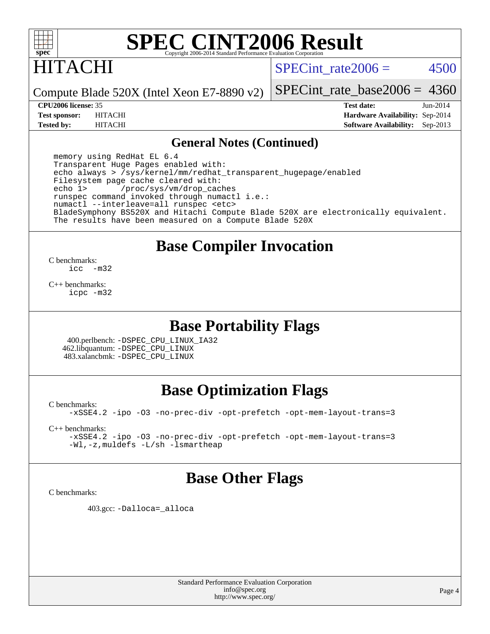

# HITACHI

SPECint rate $2006 = 4500$ 

Compute Blade 520X (Intel Xeon E7-8890 v2)

[SPECint\\_rate\\_base2006 =](http://www.spec.org/auto/cpu2006/Docs/result-fields.html#SPECintratebase2006) 4360

**[CPU2006 license:](http://www.spec.org/auto/cpu2006/Docs/result-fields.html#CPU2006license)** 35 **[Test date:](http://www.spec.org/auto/cpu2006/Docs/result-fields.html#Testdate)** Jun-2014 **[Test sponsor:](http://www.spec.org/auto/cpu2006/Docs/result-fields.html#Testsponsor)** HITACHI **[Hardware Availability:](http://www.spec.org/auto/cpu2006/Docs/result-fields.html#HardwareAvailability)** Sep-2014 **[Tested by:](http://www.spec.org/auto/cpu2006/Docs/result-fields.html#Testedby)** HITACHI **[Software Availability:](http://www.spec.org/auto/cpu2006/Docs/result-fields.html#SoftwareAvailability)** Sep-2013

#### **[General Notes \(Continued\)](http://www.spec.org/auto/cpu2006/Docs/result-fields.html#GeneralNotes)**

 memory using RedHat EL 6.4 Transparent Huge Pages enabled with: echo always > /sys/kernel/mm/redhat\_transparent\_hugepage/enabled Filesystem page cache cleared with:<br>echo 1> /proc/sys/ym/drop.cac /proc/sys/vm/drop\_caches runspec command invoked through numactl i.e.: numactl --interleave=all runspec <etc> BladeSymphony BS520X and Hitachi Compute Blade 520X are electronically equivalent. The results have been measured on a Compute Blade 520X

# **[Base Compiler Invocation](http://www.spec.org/auto/cpu2006/Docs/result-fields.html#BaseCompilerInvocation)**

 $\frac{C \text{ benchmarks:}}{C \text{ C}}$  $-m32$ 

[C++ benchmarks:](http://www.spec.org/auto/cpu2006/Docs/result-fields.html#CXXbenchmarks) [icpc -m32](http://www.spec.org/cpu2006/results/res2014q3/cpu2006-20140617-29925.flags.html#user_CXXbase_intel_icpc_4e5a5ef1a53fd332b3c49e69c3330699)

# **[Base Portability Flags](http://www.spec.org/auto/cpu2006/Docs/result-fields.html#BasePortabilityFlags)**

 400.perlbench: [-DSPEC\\_CPU\\_LINUX\\_IA32](http://www.spec.org/cpu2006/results/res2014q3/cpu2006-20140617-29925.flags.html#b400.perlbench_baseCPORTABILITY_DSPEC_CPU_LINUX_IA32) 462.libquantum: [-DSPEC\\_CPU\\_LINUX](http://www.spec.org/cpu2006/results/res2014q3/cpu2006-20140617-29925.flags.html#b462.libquantum_baseCPORTABILITY_DSPEC_CPU_LINUX) 483.xalancbmk: [-DSPEC\\_CPU\\_LINUX](http://www.spec.org/cpu2006/results/res2014q3/cpu2006-20140617-29925.flags.html#b483.xalancbmk_baseCXXPORTABILITY_DSPEC_CPU_LINUX)

# **[Base Optimization Flags](http://www.spec.org/auto/cpu2006/Docs/result-fields.html#BaseOptimizationFlags)**

[C benchmarks](http://www.spec.org/auto/cpu2006/Docs/result-fields.html#Cbenchmarks):

[-xSSE4.2](http://www.spec.org/cpu2006/results/res2014q3/cpu2006-20140617-29925.flags.html#user_CCbase_f-xSSE42_f91528193cf0b216347adb8b939d4107) [-ipo](http://www.spec.org/cpu2006/results/res2014q3/cpu2006-20140617-29925.flags.html#user_CCbase_f-ipo) [-O3](http://www.spec.org/cpu2006/results/res2014q3/cpu2006-20140617-29925.flags.html#user_CCbase_f-O3) [-no-prec-div](http://www.spec.org/cpu2006/results/res2014q3/cpu2006-20140617-29925.flags.html#user_CCbase_f-no-prec-div) [-opt-prefetch](http://www.spec.org/cpu2006/results/res2014q3/cpu2006-20140617-29925.flags.html#user_CCbase_f-opt-prefetch) [-opt-mem-layout-trans=3](http://www.spec.org/cpu2006/results/res2014q3/cpu2006-20140617-29925.flags.html#user_CCbase_f-opt-mem-layout-trans_a7b82ad4bd7abf52556d4961a2ae94d5)

[C++ benchmarks:](http://www.spec.org/auto/cpu2006/Docs/result-fields.html#CXXbenchmarks)

[-xSSE4.2](http://www.spec.org/cpu2006/results/res2014q3/cpu2006-20140617-29925.flags.html#user_CXXbase_f-xSSE42_f91528193cf0b216347adb8b939d4107) [-ipo](http://www.spec.org/cpu2006/results/res2014q3/cpu2006-20140617-29925.flags.html#user_CXXbase_f-ipo) [-O3](http://www.spec.org/cpu2006/results/res2014q3/cpu2006-20140617-29925.flags.html#user_CXXbase_f-O3) [-no-prec-div](http://www.spec.org/cpu2006/results/res2014q3/cpu2006-20140617-29925.flags.html#user_CXXbase_f-no-prec-div) [-opt-prefetch](http://www.spec.org/cpu2006/results/res2014q3/cpu2006-20140617-29925.flags.html#user_CXXbase_f-opt-prefetch) [-opt-mem-layout-trans=3](http://www.spec.org/cpu2006/results/res2014q3/cpu2006-20140617-29925.flags.html#user_CXXbase_f-opt-mem-layout-trans_a7b82ad4bd7abf52556d4961a2ae94d5) [-Wl,-z,muldefs](http://www.spec.org/cpu2006/results/res2014q3/cpu2006-20140617-29925.flags.html#user_CXXbase_link_force_multiple1_74079c344b956b9658436fd1b6dd3a8a) [-L/sh -lsmartheap](http://www.spec.org/cpu2006/results/res2014q3/cpu2006-20140617-29925.flags.html#user_CXXbase_SmartHeap_32f6c82aa1ed9c52345d30cf6e4a0499)

### **[Base Other Flags](http://www.spec.org/auto/cpu2006/Docs/result-fields.html#BaseOtherFlags)**

[C benchmarks](http://www.spec.org/auto/cpu2006/Docs/result-fields.html#Cbenchmarks):

403.gcc: [-Dalloca=\\_alloca](http://www.spec.org/cpu2006/results/res2014q3/cpu2006-20140617-29925.flags.html#b403.gcc_baseEXTRA_CFLAGS_Dalloca_be3056838c12de2578596ca5467af7f3)

Standard Performance Evaluation Corporation [info@spec.org](mailto:info@spec.org) <http://www.spec.org/>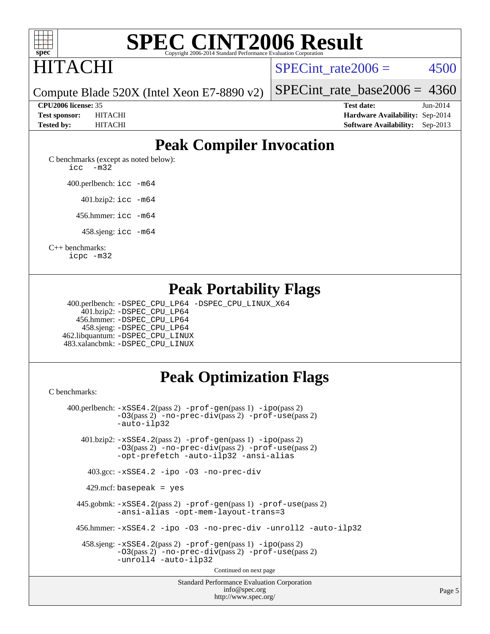

# ITACHI

SPECint rate $2006 = 4500$ 

Page 5

Compute Blade 520X (Intel Xeon E7-8890 v2)

[SPECint\\_rate\\_base2006 =](http://www.spec.org/auto/cpu2006/Docs/result-fields.html#SPECintratebase2006) 4360

**[CPU2006 license:](http://www.spec.org/auto/cpu2006/Docs/result-fields.html#CPU2006license)** 35 **[Test date:](http://www.spec.org/auto/cpu2006/Docs/result-fields.html#Testdate)** Jun-2014 **[Test sponsor:](http://www.spec.org/auto/cpu2006/Docs/result-fields.html#Testsponsor)** HITACHI **[Hardware Availability:](http://www.spec.org/auto/cpu2006/Docs/result-fields.html#HardwareAvailability)** Sep-2014 **[Tested by:](http://www.spec.org/auto/cpu2006/Docs/result-fields.html#Testedby)** HITACHI **[Software Availability:](http://www.spec.org/auto/cpu2006/Docs/result-fields.html#SoftwareAvailability)** Sep-2013

# **[Peak Compiler Invocation](http://www.spec.org/auto/cpu2006/Docs/result-fields.html#PeakCompilerInvocation)**

[C benchmarks \(except as noted below\)](http://www.spec.org/auto/cpu2006/Docs/result-fields.html#Cbenchmarksexceptasnotedbelow): [icc -m32](http://www.spec.org/cpu2006/results/res2014q3/cpu2006-20140617-29925.flags.html#user_CCpeak_intel_icc_5ff4a39e364c98233615fdd38438c6f2)

400.perlbench: [icc -m64](http://www.spec.org/cpu2006/results/res2014q3/cpu2006-20140617-29925.flags.html#user_peakCCLD400_perlbench_intel_icc_64bit_bda6cc9af1fdbb0edc3795bac97ada53)

401.bzip2: [icc -m64](http://www.spec.org/cpu2006/results/res2014q3/cpu2006-20140617-29925.flags.html#user_peakCCLD401_bzip2_intel_icc_64bit_bda6cc9af1fdbb0edc3795bac97ada53)

456.hmmer: [icc -m64](http://www.spec.org/cpu2006/results/res2014q3/cpu2006-20140617-29925.flags.html#user_peakCCLD456_hmmer_intel_icc_64bit_bda6cc9af1fdbb0edc3795bac97ada53)

458.sjeng: [icc -m64](http://www.spec.org/cpu2006/results/res2014q3/cpu2006-20140617-29925.flags.html#user_peakCCLD458_sjeng_intel_icc_64bit_bda6cc9af1fdbb0edc3795bac97ada53)

[C++ benchmarks:](http://www.spec.org/auto/cpu2006/Docs/result-fields.html#CXXbenchmarks)

[icpc -m32](http://www.spec.org/cpu2006/results/res2014q3/cpu2006-20140617-29925.flags.html#user_CXXpeak_intel_icpc_4e5a5ef1a53fd332b3c49e69c3330699)

# **[Peak Portability Flags](http://www.spec.org/auto/cpu2006/Docs/result-fields.html#PeakPortabilityFlags)**

 400.perlbench: [-DSPEC\\_CPU\\_LP64](http://www.spec.org/cpu2006/results/res2014q3/cpu2006-20140617-29925.flags.html#b400.perlbench_peakCPORTABILITY_DSPEC_CPU_LP64) [-DSPEC\\_CPU\\_LINUX\\_X64](http://www.spec.org/cpu2006/results/res2014q3/cpu2006-20140617-29925.flags.html#b400.perlbench_peakCPORTABILITY_DSPEC_CPU_LINUX_X64) 401.bzip2: [-DSPEC\\_CPU\\_LP64](http://www.spec.org/cpu2006/results/res2014q3/cpu2006-20140617-29925.flags.html#suite_peakCPORTABILITY401_bzip2_DSPEC_CPU_LP64) 456.hmmer: [-DSPEC\\_CPU\\_LP64](http://www.spec.org/cpu2006/results/res2014q3/cpu2006-20140617-29925.flags.html#suite_peakCPORTABILITY456_hmmer_DSPEC_CPU_LP64) 458.sjeng: [-DSPEC\\_CPU\\_LP64](http://www.spec.org/cpu2006/results/res2014q3/cpu2006-20140617-29925.flags.html#suite_peakCPORTABILITY458_sjeng_DSPEC_CPU_LP64) 462.libquantum: [-DSPEC\\_CPU\\_LINUX](http://www.spec.org/cpu2006/results/res2014q3/cpu2006-20140617-29925.flags.html#b462.libquantum_peakCPORTABILITY_DSPEC_CPU_LINUX) 483.xalancbmk: [-DSPEC\\_CPU\\_LINUX](http://www.spec.org/cpu2006/results/res2014q3/cpu2006-20140617-29925.flags.html#b483.xalancbmk_peakCXXPORTABILITY_DSPEC_CPU_LINUX)

# **[Peak Optimization Flags](http://www.spec.org/auto/cpu2006/Docs/result-fields.html#PeakOptimizationFlags)**

<http://www.spec.org/>

[C benchmarks](http://www.spec.org/auto/cpu2006/Docs/result-fields.html#Cbenchmarks):

Standard Performance Evaluation Corporation [info@spec.org](mailto:info@spec.org) 400.perlbench: [-xSSE4.2](http://www.spec.org/cpu2006/results/res2014q3/cpu2006-20140617-29925.flags.html#user_peakPASS2_CFLAGSPASS2_LDCFLAGS400_perlbench_f-xSSE42_f91528193cf0b216347adb8b939d4107)(pass 2) [-prof-gen](http://www.spec.org/cpu2006/results/res2014q3/cpu2006-20140617-29925.flags.html#user_peakPASS1_CFLAGSPASS1_LDCFLAGS400_perlbench_prof_gen_e43856698f6ca7b7e442dfd80e94a8fc)(pass 1) [-ipo](http://www.spec.org/cpu2006/results/res2014q3/cpu2006-20140617-29925.flags.html#user_peakPASS2_CFLAGSPASS2_LDCFLAGS400_perlbench_f-ipo)(pass 2) [-O3](http://www.spec.org/cpu2006/results/res2014q3/cpu2006-20140617-29925.flags.html#user_peakPASS2_CFLAGSPASS2_LDCFLAGS400_perlbench_f-O3)(pass 2) [-no-prec-div](http://www.spec.org/cpu2006/results/res2014q3/cpu2006-20140617-29925.flags.html#user_peakPASS2_CFLAGSPASS2_LDCFLAGS400_perlbench_f-no-prec-div)(pass 2) [-prof-use](http://www.spec.org/cpu2006/results/res2014q3/cpu2006-20140617-29925.flags.html#user_peakPASS2_CFLAGSPASS2_LDCFLAGS400_perlbench_prof_use_bccf7792157ff70d64e32fe3e1250b55)(pass 2) [-auto-ilp32](http://www.spec.org/cpu2006/results/res2014q3/cpu2006-20140617-29925.flags.html#user_peakCOPTIMIZE400_perlbench_f-auto-ilp32) 401.bzip2: [-xSSE4.2](http://www.spec.org/cpu2006/results/res2014q3/cpu2006-20140617-29925.flags.html#user_peakPASS2_CFLAGSPASS2_LDCFLAGS401_bzip2_f-xSSE42_f91528193cf0b216347adb8b939d4107)(pass 2) [-prof-gen](http://www.spec.org/cpu2006/results/res2014q3/cpu2006-20140617-29925.flags.html#user_peakPASS1_CFLAGSPASS1_LDCFLAGS401_bzip2_prof_gen_e43856698f6ca7b7e442dfd80e94a8fc)(pass 1) [-ipo](http://www.spec.org/cpu2006/results/res2014q3/cpu2006-20140617-29925.flags.html#user_peakPASS2_CFLAGSPASS2_LDCFLAGS401_bzip2_f-ipo)(pass 2) [-O3](http://www.spec.org/cpu2006/results/res2014q3/cpu2006-20140617-29925.flags.html#user_peakPASS2_CFLAGSPASS2_LDCFLAGS401_bzip2_f-O3)(pass 2) [-no-prec-div](http://www.spec.org/cpu2006/results/res2014q3/cpu2006-20140617-29925.flags.html#user_peakPASS2_CFLAGSPASS2_LDCFLAGS401_bzip2_f-no-prec-div)(pass 2) [-prof-use](http://www.spec.org/cpu2006/results/res2014q3/cpu2006-20140617-29925.flags.html#user_peakPASS2_CFLAGSPASS2_LDCFLAGS401_bzip2_prof_use_bccf7792157ff70d64e32fe3e1250b55)(pass 2) [-opt-prefetch](http://www.spec.org/cpu2006/results/res2014q3/cpu2006-20140617-29925.flags.html#user_peakCOPTIMIZE401_bzip2_f-opt-prefetch) [-auto-ilp32](http://www.spec.org/cpu2006/results/res2014q3/cpu2006-20140617-29925.flags.html#user_peakCOPTIMIZE401_bzip2_f-auto-ilp32) [-ansi-alias](http://www.spec.org/cpu2006/results/res2014q3/cpu2006-20140617-29925.flags.html#user_peakCOPTIMIZE401_bzip2_f-ansi-alias) 403.gcc: [-xSSE4.2](http://www.spec.org/cpu2006/results/res2014q3/cpu2006-20140617-29925.flags.html#user_peakCOPTIMIZE403_gcc_f-xSSE42_f91528193cf0b216347adb8b939d4107) [-ipo](http://www.spec.org/cpu2006/results/res2014q3/cpu2006-20140617-29925.flags.html#user_peakCOPTIMIZE403_gcc_f-ipo) [-O3](http://www.spec.org/cpu2006/results/res2014q3/cpu2006-20140617-29925.flags.html#user_peakCOPTIMIZE403_gcc_f-O3) [-no-prec-div](http://www.spec.org/cpu2006/results/res2014q3/cpu2006-20140617-29925.flags.html#user_peakCOPTIMIZE403_gcc_f-no-prec-div) 429.mcf: basepeak = yes 445.gobmk: [-xSSE4.2](http://www.spec.org/cpu2006/results/res2014q3/cpu2006-20140617-29925.flags.html#user_peakPASS2_CFLAGSPASS2_LDCFLAGS445_gobmk_f-xSSE42_f91528193cf0b216347adb8b939d4107)(pass 2) [-prof-gen](http://www.spec.org/cpu2006/results/res2014q3/cpu2006-20140617-29925.flags.html#user_peakPASS1_CFLAGSPASS1_LDCFLAGS445_gobmk_prof_gen_e43856698f6ca7b7e442dfd80e94a8fc)(pass 1) [-prof-use](http://www.spec.org/cpu2006/results/res2014q3/cpu2006-20140617-29925.flags.html#user_peakPASS2_CFLAGSPASS2_LDCFLAGS445_gobmk_prof_use_bccf7792157ff70d64e32fe3e1250b55)(pass 2) [-ansi-alias](http://www.spec.org/cpu2006/results/res2014q3/cpu2006-20140617-29925.flags.html#user_peakCOPTIMIZE445_gobmk_f-ansi-alias) [-opt-mem-layout-trans=3](http://www.spec.org/cpu2006/results/res2014q3/cpu2006-20140617-29925.flags.html#user_peakCOPTIMIZE445_gobmk_f-opt-mem-layout-trans_a7b82ad4bd7abf52556d4961a2ae94d5) 456.hmmer: [-xSSE4.2](http://www.spec.org/cpu2006/results/res2014q3/cpu2006-20140617-29925.flags.html#user_peakCOPTIMIZE456_hmmer_f-xSSE42_f91528193cf0b216347adb8b939d4107) [-ipo](http://www.spec.org/cpu2006/results/res2014q3/cpu2006-20140617-29925.flags.html#user_peakCOPTIMIZE456_hmmer_f-ipo) [-O3](http://www.spec.org/cpu2006/results/res2014q3/cpu2006-20140617-29925.flags.html#user_peakCOPTIMIZE456_hmmer_f-O3) [-no-prec-div](http://www.spec.org/cpu2006/results/res2014q3/cpu2006-20140617-29925.flags.html#user_peakCOPTIMIZE456_hmmer_f-no-prec-div) [-unroll2](http://www.spec.org/cpu2006/results/res2014q3/cpu2006-20140617-29925.flags.html#user_peakCOPTIMIZE456_hmmer_f-unroll_784dae83bebfb236979b41d2422d7ec2) [-auto-ilp32](http://www.spec.org/cpu2006/results/res2014q3/cpu2006-20140617-29925.flags.html#user_peakCOPTIMIZE456_hmmer_f-auto-ilp32) 458.sjeng: [-xSSE4.2](http://www.spec.org/cpu2006/results/res2014q3/cpu2006-20140617-29925.flags.html#user_peakPASS2_CFLAGSPASS2_LDCFLAGS458_sjeng_f-xSSE42_f91528193cf0b216347adb8b939d4107)(pass 2) [-prof-gen](http://www.spec.org/cpu2006/results/res2014q3/cpu2006-20140617-29925.flags.html#user_peakPASS1_CFLAGSPASS1_LDCFLAGS458_sjeng_prof_gen_e43856698f6ca7b7e442dfd80e94a8fc)(pass 1) [-ipo](http://www.spec.org/cpu2006/results/res2014q3/cpu2006-20140617-29925.flags.html#user_peakPASS2_CFLAGSPASS2_LDCFLAGS458_sjeng_f-ipo)(pass 2) [-O3](http://www.spec.org/cpu2006/results/res2014q3/cpu2006-20140617-29925.flags.html#user_peakPASS2_CFLAGSPASS2_LDCFLAGS458_sjeng_f-O3)(pass 2) [-no-prec-div](http://www.spec.org/cpu2006/results/res2014q3/cpu2006-20140617-29925.flags.html#user_peakPASS2_CFLAGSPASS2_LDCFLAGS458_sjeng_f-no-prec-div)(pass 2) [-prof-use](http://www.spec.org/cpu2006/results/res2014q3/cpu2006-20140617-29925.flags.html#user_peakPASS2_CFLAGSPASS2_LDCFLAGS458_sjeng_prof_use_bccf7792157ff70d64e32fe3e1250b55)(pass 2) [-unroll4](http://www.spec.org/cpu2006/results/res2014q3/cpu2006-20140617-29925.flags.html#user_peakCOPTIMIZE458_sjeng_f-unroll_4e5e4ed65b7fd20bdcd365bec371b81f) [-auto-ilp32](http://www.spec.org/cpu2006/results/res2014q3/cpu2006-20140617-29925.flags.html#user_peakCOPTIMIZE458_sjeng_f-auto-ilp32) Continued on next page